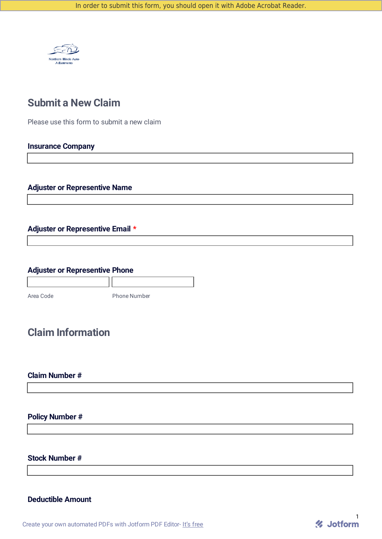

## **Submit a New Claim**

Please use this form to submit a new claim

#### **Insurance Company**

#### **Adjuster or Representive Name**

## **Adjuster or Representive Email \***

## **Adjuster or Representive Phone**

| Area Code | <b>Phone Number</b> |
|-----------|---------------------|

## **Claim Information**

### **Claim Number #**

## **Policy Number #**

**Stock Number #**

#### **Deductible Amount**

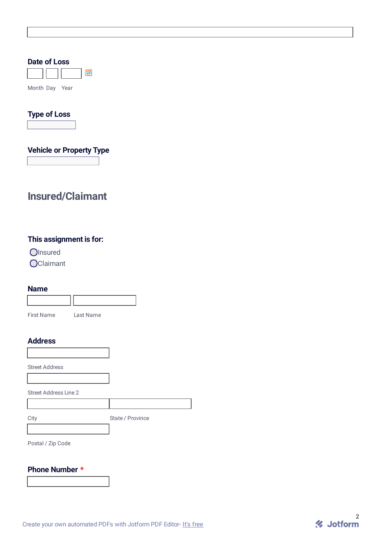| Date of Loss                        |  |
|-------------------------------------|--|
| F                                   |  |
| Month Day Year                      |  |
| <b>Type of Loss</b><br>$\mathbf{F}$ |  |
| <b>Vehicle or Property Type</b>     |  |
|                                     |  |

# **Insured/Claimant**

## **This assignment is for:**

Olnsured

**O**Claimant

#### **Name**

| <b>First Name</b> | Last Name |
|-------------------|-----------|

#### **Address**

Street Address

Street Address Line 2

City State / Province

Postal / Zip Code

#### **Phone Number \***

Create your own [automated](https://www.jotform.com/products/pdf-editor/?utm_source=pdf_file&utm_medium=referral&utm_term=213477103590150&utm_content=jotform_text&utm_campaign=pdf_file_branding_footer) PDFs with Jotform PDF Editor- It's free

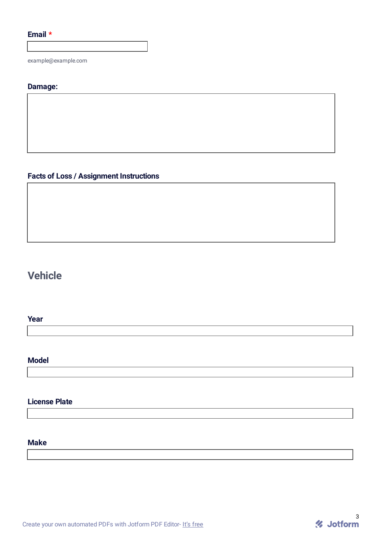## **Email \***

example@example.com

#### **Damage:**

## **Facts of Loss / Assignment Instructions**

# **Vehicle**

#### **Year**

#### **Model**

## **License Plate**

### **Make**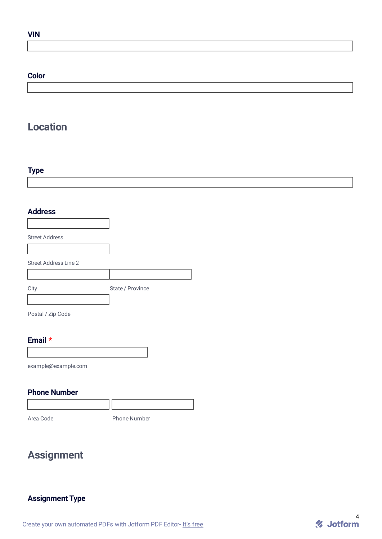#### **VIN**

#### **Color**

# **Location**

## **Type**

#### **Address**

| <b>Street Address</b>        |                  |
|------------------------------|------------------|
|                              |                  |
| <b>Street Address Line 2</b> |                  |
|                              |                  |
| City                         | State / Province |
|                              |                  |

Postal / Zip Code

#### **Email \***

example@example.com

## **Phone Number**

Area Code **Phone Number** 

# **Assignment**

## **Assignment Type**